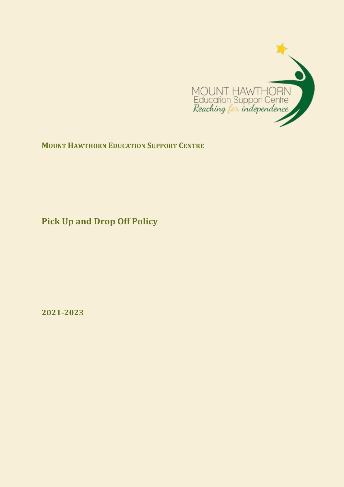

**MOUNT HAWTHORN EDUCATION SUPPORT CENTRE**

**Pick Up and Drop Off Policy**

**2021-2023**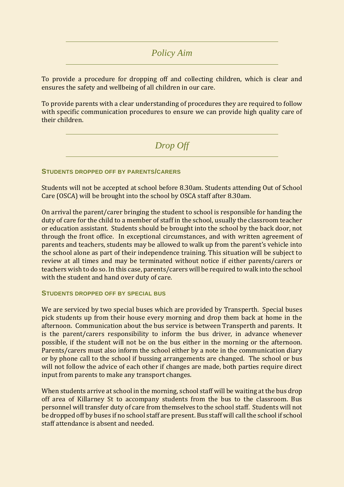## *Policy Aim*

To provide a procedure for dropping off and collecting children, which is clear and ensures the safety and wellbeing of all children in our care.

To provide parents with a clear understanding of procedures they are required to follow with specific communication procedures to ensure we can provide high quality care of their children.

*Drop Off* 

**STUDENTS DROPPED OFF BY PARENTS/CARERS**

Students will not be accepted at school before 8.30am. Students attending Out of School Care (OSCA) will be brought into the school by OSCA staff after 8.30am.

On arrival the parent/carer bringing the student to school is responsible for handing the duty of care for the child to a member of staff in the school, usually the classroom teacher or education assistant. Students should be brought into the school by the back door, not through the front office. In exceptional circumstances, and with written agreement of parents and teachers, students may be allowed to walk up from the parent's vehicle into the school alone as part of their independence training. This situation will be subject to review at all times and may be terminated without notice if either parents/carers or teachers wish to do so. In this case, parents/carers will be required to walk into the school with the student and hand over duty of care.

## **STUDENTS DROPPED OFF BY SPECIAL BUS**

We are serviced by two special buses which are provided by Transperth. Special buses pick students up from their house every morning and drop them back at home in the afternoon. Communication about the bus service is between Transperth and parents. It is the parent/carers responsibility to inform the bus driver, in advance whenever possible, if the student will not be on the bus either in the morning or the afternoon. Parents/carers must also inform the school either by a note in the communication diary or by phone call to the school if bussing arrangements are changed. The school or bus will not follow the advice of each other if changes are made, both parties require direct input from parents to make any transport changes.

When students arrive at school in the morning, school staff will be waiting at the bus drop off area of Killarney St to accompany students from the bus to the classroom. Bus personnel will transfer duty of care from themselves to the school staff. Students will not be dropped off by buses if no school staff are present. Bus staff will call the school if school staff attendance is absent and needed.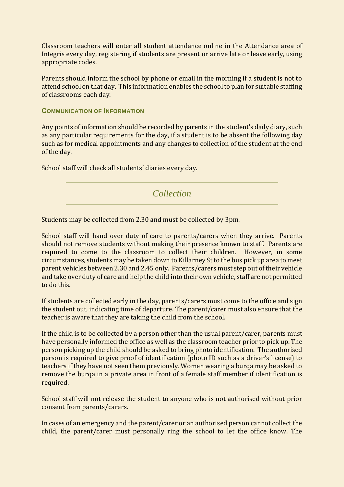Classroom teachers will enter all student attendance online in the Attendance area of Integris every day, registering if students are present or arrive late or leave early, using appropriate codes.

Parents should inform the school by phone or email in the morning if a student is not to attend school on that day. This information enables the school to plan for suitable staffing of classrooms each day.

**COMMUNICATION OF INFORMATION**

Any points of information should be recorded by parents in the student's daily diary, such as any particular requirements for the day, if a student is to be absent the following day such as for medical appointments and any changes to collection of the student at the end of the day.

School staff will check all students' diaries every day.

*Collection* 

Students may be collected from 2.30 and must be collected by 3pm.

School staff will hand over duty of care to parents/carers when they arrive. Parents should not remove students without making their presence known to staff. Parents are required to come to the classroom to collect their children. However, in some circumstances, students may be taken down to Killarney St to the bus pick up area to meet parent vehicles between 2.30 and 2.45 only. Parents/carers must step out of their vehicle and take over duty of care and help the child into their own vehicle, staff are not permitted to do this.

If students are collected early in the day, parents/carers must come to the office and sign the student out, indicating time of departure. The parent/carer must also ensure that the teacher is aware that they are taking the child from the school.

If the child is to be collected by a person other than the usual parent/carer, parents must have personally informed the office as well as the classroom teacher prior to pick up. The person picking up the child should be asked to bring photo identification. The authorised person is required to give proof of identification (photo ID such as a driver's license) to teachers if they have not seen them previously. Women wearing a burqa may be asked to remove the burqa in a private area in front of a female staff member if identification is required.

School staff will not release the student to anyone who is not authorised without prior consent from parents/carers.

In cases of an emergency and the parent/carer or an authorised person cannot collect the child, the parent/carer must personally ring the school to let the office know. The